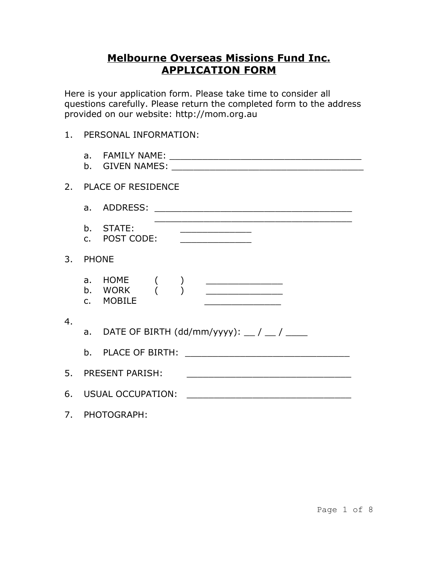## **Melbourne Overseas Missions Fund Inc. APPLICATION FORM**

Here is your application form. Please take time to consider all questions carefully. Please return the completed form to the address provided on our website: http://mom.org.au

## 1. PERSONAL INFORMATION:

|                  |               | 2. PLACE OF RESIDENCE                                                                   |
|------------------|---------------|-----------------------------------------------------------------------------------------|
|                  |               |                                                                                         |
|                  |               | b. STATE:<br><u> 1980 - Johann Barnett, fransk politik (</u><br>c. POST CODE:           |
|                  | 3. PHONE      |                                                                                         |
|                  | $C_{\bullet}$ | <b>MOBILE</b>                                                                           |
| $\overline{4}$ . |               | a. DATE OF BIRTH $(dd/mm/yyyy)$ : __/ __/ ___                                           |
|                  |               | 5. PRESENT PARISH:<br><u> 1980 - Johann John Stone, mars eta biztanleria (h. 1980).</u> |
|                  |               | 6. USUAL OCCUPATION:<br><u> 1980 - Jan Barat, margaret amerikan ba</u>                  |
|                  |               | 7. PHOTOGRAPH:                                                                          |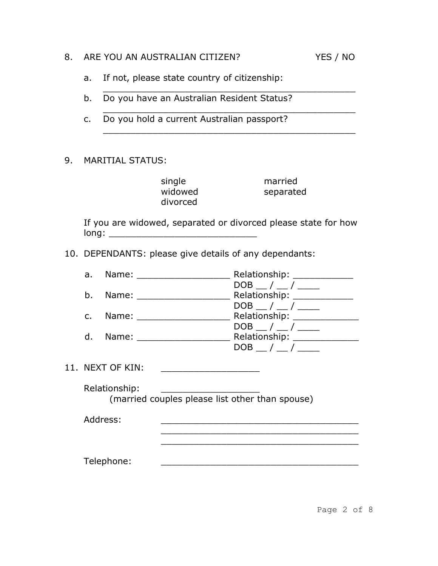| ARE YOU AN AUSTRALIAN CITIZEN?<br>8. |
|--------------------------------------|
|--------------------------------------|

- a. If not, please state country of citizenship:
- b. Do you have an Australian Resident Status?
- c. Do you hold a current Australian passport?
- 9. MARITIAL STATUS:

single married<br>widowed separate divorced

separated

If you are widowed, separated or divorced please state for how long: \_\_\_\_\_\_\_\_\_\_\_\_\_\_\_\_\_\_\_\_\_\_\_\_\_\_\_

\_\_\_\_\_\_\_\_\_\_\_\_\_\_\_\_\_\_\_\_\_\_\_\_\_\_\_\_\_\_\_\_\_\_\_\_\_\_\_\_\_\_\_\_\_\_

\_\_\_\_\_\_\_\_\_\_\_\_\_\_\_\_\_\_\_\_\_\_\_\_\_\_\_\_\_\_\_\_\_\_\_\_\_\_\_\_\_\_\_\_\_\_

\_\_\_\_\_\_\_\_\_\_\_\_\_\_\_\_\_\_\_\_\_\_\_\_\_\_\_\_\_\_\_\_\_\_\_\_\_\_\_\_\_\_\_\_\_\_

10. DEPENDANTS: please give details of any dependants:

|                | a. Name: _____________     | Relationship: __________                         |  |
|----------------|----------------------------|--------------------------------------------------|--|
| b.             | Name: _____________        | $DOB$ __/ __/ __<br>Relationship: ______________ |  |
| $\mathsf{C}$ . | Name: _____________        | $DOB$ / /<br>Relationship: ______                |  |
|                | d. Name: _________________ | $DOB$ _/ _/ __<br>Relationship: ______           |  |
|                |                            | $DOB$ _/ _/ __                                   |  |
|                | 11. NEXT OF KIN:           |                                                  |  |
|                | Relationship:              | (married couples please list other than spouse)  |  |
|                | Address:                   |                                                  |  |
|                |                            |                                                  |  |
|                | Telephone:                 |                                                  |  |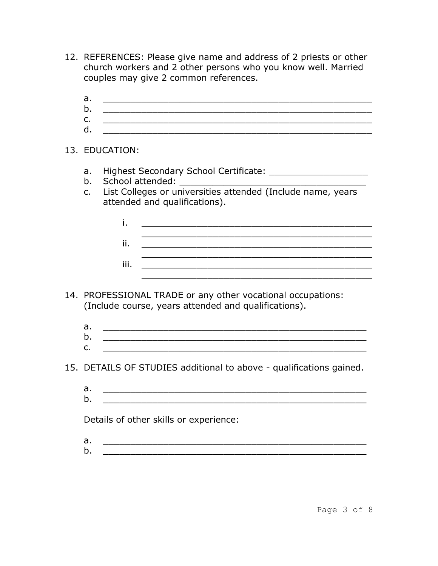- 12. REFERENCES: Please give name and address of 2 priests or other church workers and 2 other persons who you know well. Married couples may give 2 common references.
	- a. \_\_\_\_\_\_\_\_\_\_\_\_\_\_\_\_\_\_\_\_\_\_\_\_\_\_\_\_\_\_\_\_\_\_\_\_\_\_\_\_\_\_\_\_\_\_\_\_\_
	- b. \_\_\_\_\_\_\_\_\_\_\_\_\_\_\_\_\_\_\_\_\_\_\_\_\_\_\_\_\_\_\_\_\_\_\_\_\_\_\_\_\_\_\_\_\_\_\_\_\_  $c.$
	- d. \_\_\_\_\_\_\_\_\_\_\_\_\_\_\_\_\_\_\_\_\_\_\_\_\_\_\_\_\_\_\_\_\_\_\_\_\_\_\_\_\_\_\_\_\_\_\_\_\_
- 13. EDUCATION:
	- a. Highest Secondary School Certificate: \_\_\_\_\_\_\_\_\_\_\_\_\_\_\_\_\_\_
	- b. School attended: \_\_\_\_\_\_\_\_\_\_\_\_\_\_\_\_\_\_\_\_\_\_\_\_\_\_\_\_\_\_\_\_\_\_
	- c. List Colleges or universities attended (Include name, years attended and qualifications).

| ij   |  |  |  |  |
|------|--|--|--|--|
|      |  |  |  |  |
| iii. |  |  |  |  |
|      |  |  |  |  |

- 14. PROFESSIONAL TRADE or any other vocational occupations: (Include course, years attended and qualifications).
	- a. \_\_\_\_\_\_\_\_\_\_\_\_\_\_\_\_\_\_\_\_\_\_\_\_\_\_\_\_\_\_\_\_\_\_\_\_\_\_\_\_\_\_\_\_\_\_\_\_  $b.$ c. \_\_\_\_\_\_\_\_\_\_\_\_\_\_\_\_\_\_\_\_\_\_\_\_\_\_\_\_\_\_\_\_\_\_\_\_\_\_\_\_\_\_\_\_\_\_\_\_
- 15. DETAILS OF STUDIES additional to above qualifications gained.
	- a. \_\_\_\_\_\_\_\_\_\_\_\_\_\_\_\_\_\_\_\_\_\_\_\_\_\_\_\_\_\_\_\_\_\_\_\_\_\_\_\_\_\_\_\_\_\_\_\_
	- b. \_\_\_\_\_\_\_\_\_\_\_\_\_\_\_\_\_\_\_\_\_\_\_\_\_\_\_\_\_\_\_\_\_\_\_\_\_\_\_\_\_\_\_\_\_\_\_\_

Details of other skills or experience:

- $a.$
- b. \_\_\_\_\_\_\_\_\_\_\_\_\_\_\_\_\_\_\_\_\_\_\_\_\_\_\_\_\_\_\_\_\_\_\_\_\_\_\_\_\_\_\_\_\_\_\_\_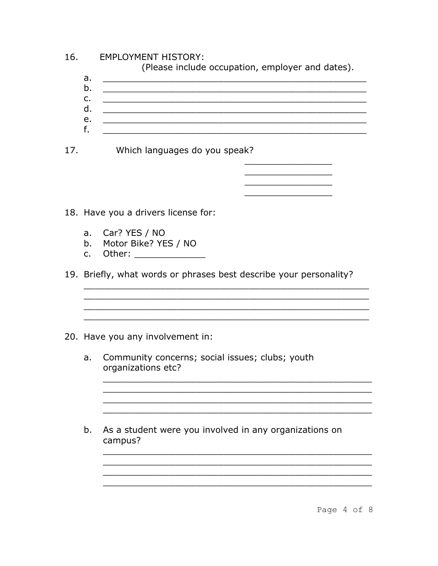| 16. | <b>EMPLOYMENT HISTORY:</b><br>(Please include occupation, employer and dates). |                                                                                                                                                                                                                                               |  |  |  |
|-----|--------------------------------------------------------------------------------|-----------------------------------------------------------------------------------------------------------------------------------------------------------------------------------------------------------------------------------------------|--|--|--|
|     | a.                                                                             |                                                                                                                                                                                                                                               |  |  |  |
|     | b.<br>$\mathsf{C}$ .                                                           | <u> 1980 - Jan Barat, margaret amerikan beste beste beste beste beste beste beste beste beste beste beste beste b</u>                                                                                                                         |  |  |  |
|     | d.                                                                             | <u> 1989 - Johann John Harry Harry Harry Harry Harry Harry Harry Harry Harry Harry Harry Harry Harry Harry Harry</u>                                                                                                                          |  |  |  |
|     | е.<br>f.                                                                       | <u> 1989 - Johann Stoff, deutscher Stoff, der Stoff, der Stoff, der Stoff, der Stoff, der Stoff, der Stoff, der S</u><br><u> 1989 - Johann John Stone, menydd y cyfeiriad y cyfeiriad y gynydd y gynydd y gynydd y gynydd y gynydd y gyny</u> |  |  |  |
| 17. |                                                                                | Which languages do you speak?                                                                                                                                                                                                                 |  |  |  |
|     |                                                                                |                                                                                                                                                                                                                                               |  |  |  |
|     |                                                                                |                                                                                                                                                                                                                                               |  |  |  |
|     |                                                                                | 18. Have you a drivers license for:                                                                                                                                                                                                           |  |  |  |
|     | a.<br>b.<br>$\mathsf{C}$ .                                                     | Car? YES / NO<br>Motor Bike? YES / NO<br>Other: _______________                                                                                                                                                                               |  |  |  |
|     |                                                                                | 19. Briefly, what words or phrases best describe your personality?                                                                                                                                                                            |  |  |  |
|     |                                                                                |                                                                                                                                                                                                                                               |  |  |  |
|     |                                                                                | 20. Have you any involvement in:                                                                                                                                                                                                              |  |  |  |
|     | a.                                                                             | Community concerns; social issues; clubs; youth<br>organizations etc?                                                                                                                                                                         |  |  |  |
|     |                                                                                |                                                                                                                                                                                                                                               |  |  |  |
|     | b.                                                                             | As a student were you involved in any organizations on<br>campus?                                                                                                                                                                             |  |  |  |
|     |                                                                                |                                                                                                                                                                                                                                               |  |  |  |
|     |                                                                                |                                                                                                                                                                                                                                               |  |  |  |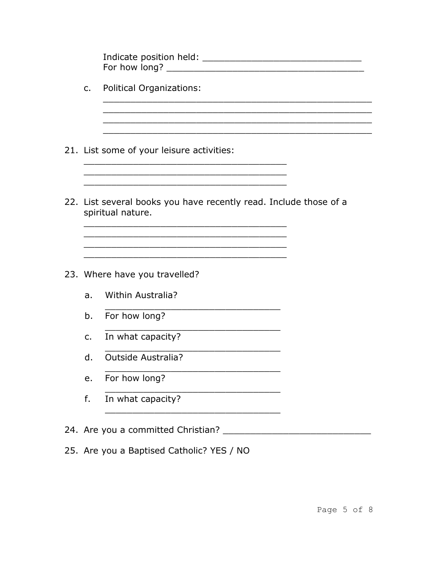| Indicate position held: |  |
|-------------------------|--|
| For how long?           |  |

- **Political Organizations:**  $C_{1}$
- 21. List some of your leisure activities:
- 22. List several books you have recently read. Include those of a spiritual nature.

<u> 1989 - Johann John Stone, mars eta biztanleria (h. 1989).</u>

<u> 1980 - Johann Barn, mars ann an Cathair ann an t-Aonaichte ann an t-Aonaichte ann an t-Aonaichte ann an t-Aon</u>

- 23. Where have you travelled?
	- a. Within Australia?
	- b. For how long?
	- In what capacity?  $C.$
	- d. **Outside Australia?**
	- e. For how long?
	- In what capacity?  $f_{\rm{r}}$
- 
- 25. Are you a Baptised Catholic? YES / NO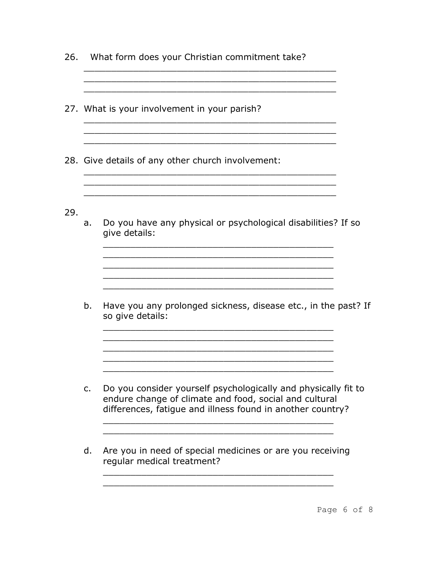- 26. What form does your Christian commitment take?
- 27. What is your involvement in your parish?
- 28. Give details of any other church involvement:
- 29.
- a. Do you have any physical or psychological disabilities? If so give details:

\_\_\_\_\_\_\_\_\_\_\_\_\_\_\_\_\_\_\_\_\_\_\_\_\_\_\_\_\_\_\_\_\_\_\_\_\_\_\_\_\_\_ \_\_\_\_\_\_\_\_\_\_\_\_\_\_\_\_\_\_\_\_\_\_\_\_\_\_\_\_\_\_\_\_\_\_\_\_\_\_\_\_\_\_ \_\_\_\_\_\_\_\_\_\_\_\_\_\_\_\_\_\_\_\_\_\_\_\_\_\_\_\_\_\_\_\_\_\_\_\_\_\_\_\_\_\_ \_\_\_\_\_\_\_\_\_\_\_\_\_\_\_\_\_\_\_\_\_\_\_\_\_\_\_\_\_\_\_\_\_\_\_\_\_\_\_\_\_\_

\_\_\_\_\_\_\_\_\_\_\_\_\_\_\_\_\_\_\_\_\_\_\_\_\_\_\_\_\_\_\_\_\_\_\_\_\_\_\_\_\_\_

\_\_\_\_\_\_\_\_\_\_\_\_\_\_\_\_\_\_\_\_\_\_\_\_\_\_\_\_\_\_\_\_\_\_\_\_\_\_\_\_\_\_ \_\_\_\_\_\_\_\_\_\_\_\_\_\_\_\_\_\_\_\_\_\_\_\_\_\_\_\_\_\_\_\_\_\_\_\_\_\_\_\_\_\_  $\mathcal{L}_\text{max}$  and the contract of the contract of the contract of the contract of the contract of the contract of the contract of the contract of the contract of the contract of the contract of the contract of the contrac \_\_\_\_\_\_\_\_\_\_\_\_\_\_\_\_\_\_\_\_\_\_\_\_\_\_\_\_\_\_\_\_\_\_\_\_\_\_\_\_\_\_ \_\_\_\_\_\_\_\_\_\_\_\_\_\_\_\_\_\_\_\_\_\_\_\_\_\_\_\_\_\_\_\_\_\_\_\_\_\_\_\_\_\_

 $\mathcal{L}_\text{max}$  and the contract of the contract of the contract of the contract of the contract of the contract of the contract of the contract of the contract of the contract of the contract of the contract of the contrac

\_\_\_\_\_\_\_\_\_\_\_\_\_\_\_\_\_\_\_\_\_\_\_\_\_\_\_\_\_\_\_\_\_\_\_\_\_\_\_\_\_\_\_\_\_\_ \_\_\_\_\_\_\_\_\_\_\_\_\_\_\_\_\_\_\_\_\_\_\_\_\_\_\_\_\_\_\_\_\_\_\_\_\_\_\_\_\_\_\_\_\_\_

\_\_\_\_\_\_\_\_\_\_\_\_\_\_\_\_\_\_\_\_\_\_\_\_\_\_\_\_\_\_\_\_\_\_\_\_\_\_\_\_\_\_\_\_\_\_

\_\_\_\_\_\_\_\_\_\_\_\_\_\_\_\_\_\_\_\_\_\_\_\_\_\_\_\_\_\_\_\_\_\_\_\_\_\_\_\_\_\_\_\_\_\_ \_\_\_\_\_\_\_\_\_\_\_\_\_\_\_\_\_\_\_\_\_\_\_\_\_\_\_\_\_\_\_\_\_\_\_\_\_\_\_\_\_\_\_\_\_\_

\_\_\_\_\_\_\_\_\_\_\_\_\_\_\_\_\_\_\_\_\_\_\_\_\_\_\_\_\_\_\_\_\_\_\_\_\_\_\_\_\_\_\_\_\_\_

\_\_\_\_\_\_\_\_\_\_\_\_\_\_\_\_\_\_\_\_\_\_\_\_\_\_\_\_\_\_\_\_\_\_\_\_\_\_\_\_\_\_\_\_\_\_  $\mathcal{L}_\text{max}$  and the contract of the contract of the contract of the contract of the contract of the contract of the contract of the contract of the contract of the contract of the contract of the contract of the contrac

b. Have you any prolonged sickness, disease etc., in the past? If so give details:

- c. Do you consider yourself psychologically and physically fit to endure change of climate and food, social and cultural differences, fatigue and illness found in another country?
- d. Are you in need of special medicines or are you receiving regular medical treatment?

\_\_\_\_\_\_\_\_\_\_\_\_\_\_\_\_\_\_\_\_\_\_\_\_\_\_\_\_\_\_\_\_\_\_\_\_\_\_\_\_\_\_ \_\_\_\_\_\_\_\_\_\_\_\_\_\_\_\_\_\_\_\_\_\_\_\_\_\_\_\_\_\_\_\_\_\_\_\_\_\_\_\_\_\_

\_\_\_\_\_\_\_\_\_\_\_\_\_\_\_\_\_\_\_\_\_\_\_\_\_\_\_\_\_\_\_\_\_\_\_\_\_\_\_\_\_\_ \_\_\_\_\_\_\_\_\_\_\_\_\_\_\_\_\_\_\_\_\_\_\_\_\_\_\_\_\_\_\_\_\_\_\_\_\_\_\_\_\_\_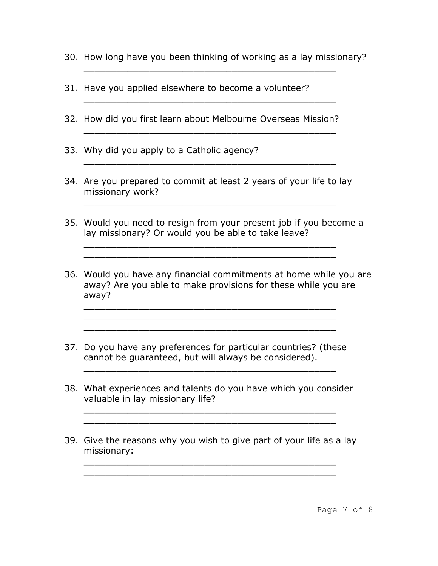30. How long have you been thinking of working as a lay missionary?

\_\_\_\_\_\_\_\_\_\_\_\_\_\_\_\_\_\_\_\_\_\_\_\_\_\_\_\_\_\_\_\_\_\_\_\_\_\_\_\_\_\_\_\_\_\_

\_\_\_\_\_\_\_\_\_\_\_\_\_\_\_\_\_\_\_\_\_\_\_\_\_\_\_\_\_\_\_\_\_\_\_\_\_\_\_\_\_\_\_\_\_\_

\_\_\_\_\_\_\_\_\_\_\_\_\_\_\_\_\_\_\_\_\_\_\_\_\_\_\_\_\_\_\_\_\_\_\_\_\_\_\_\_\_\_\_\_\_\_

- 31. Have you applied elsewhere to become a volunteer?
- 32. How did you first learn about Melbourne Overseas Mission?
- 33. Why did you apply to a Catholic agency?
- 34. Are you prepared to commit at least 2 years of your life to lay missionary work?

\_\_\_\_\_\_\_\_\_\_\_\_\_\_\_\_\_\_\_\_\_\_\_\_\_\_\_\_\_\_\_\_\_\_\_\_\_\_\_\_\_\_\_\_\_\_

\_\_\_\_\_\_\_\_\_\_\_\_\_\_\_\_\_\_\_\_\_\_\_\_\_\_\_\_\_\_\_\_\_\_\_\_\_\_\_\_\_\_\_\_\_\_ \_\_\_\_\_\_\_\_\_\_\_\_\_\_\_\_\_\_\_\_\_\_\_\_\_\_\_\_\_\_\_\_\_\_\_\_\_\_\_\_\_\_\_\_\_\_

\_\_\_\_\_\_\_\_\_\_\_\_\_\_\_\_\_\_\_\_\_\_\_\_\_\_\_\_\_\_\_\_\_\_\_\_\_\_\_\_\_\_\_\_\_\_

- 35. Would you need to resign from your present job if you become a lay missionary? Or would you be able to take leave?
- 36. Would you have any financial commitments at home while you are away? Are you able to make provisions for these while you are away?
- 37. Do you have any preferences for particular countries? (these cannot be guaranteed, but will always be considered).

\_\_\_\_\_\_\_\_\_\_\_\_\_\_\_\_\_\_\_\_\_\_\_\_\_\_\_\_\_\_\_\_\_\_\_\_\_\_\_\_\_\_\_\_\_\_ \_\_\_\_\_\_\_\_\_\_\_\_\_\_\_\_\_\_\_\_\_\_\_\_\_\_\_\_\_\_\_\_\_\_\_\_\_\_\_\_\_\_\_\_\_\_ \_\_\_\_\_\_\_\_\_\_\_\_\_\_\_\_\_\_\_\_\_\_\_\_\_\_\_\_\_\_\_\_\_\_\_\_\_\_\_\_\_\_\_\_\_\_

38. What experiences and talents do you have which you consider valuable in lay missionary life?

\_\_\_\_\_\_\_\_\_\_\_\_\_\_\_\_\_\_\_\_\_\_\_\_\_\_\_\_\_\_\_\_\_\_\_\_\_\_\_\_\_\_\_\_\_\_ \_\_\_\_\_\_\_\_\_\_\_\_\_\_\_\_\_\_\_\_\_\_\_\_\_\_\_\_\_\_\_\_\_\_\_\_\_\_\_\_\_\_\_\_\_\_

\_\_\_\_\_\_\_\_\_\_\_\_\_\_\_\_\_\_\_\_\_\_\_\_\_\_\_\_\_\_\_\_\_\_\_\_\_\_\_\_\_\_\_\_\_\_

39. Give the reasons why you wish to give part of your life as a lay missionary:

\_\_\_\_\_\_\_\_\_\_\_\_\_\_\_\_\_\_\_\_\_\_\_\_\_\_\_\_\_\_\_\_\_\_\_\_\_\_\_\_\_\_\_\_\_\_ \_\_\_\_\_\_\_\_\_\_\_\_\_\_\_\_\_\_\_\_\_\_\_\_\_\_\_\_\_\_\_\_\_\_\_\_\_\_\_\_\_\_\_\_\_\_